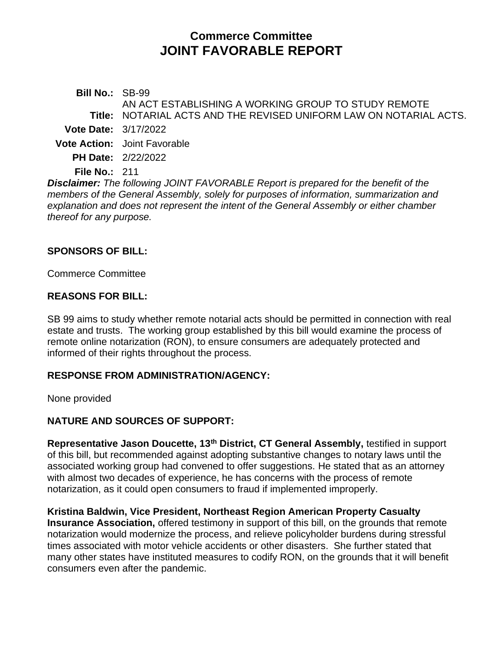# **Commerce Committee JOINT FAVORABLE REPORT**

**Bill No.:** SB-99 **Title:** NOTARIAL ACTS AND THE REVISED UNIFORM LAW ON NOTARIAL ACTS. AN ACT ESTABLISHING A WORKING GROUP TO STUDY REMOTE **Vote Date:** 3/17/2022 **Vote Action:** Joint Favorable **PH Date:** 2/22/2022

**File No.:** 211

*Disclaimer: The following JOINT FAVORABLE Report is prepared for the benefit of the members of the General Assembly, solely for purposes of information, summarization and explanation and does not represent the intent of the General Assembly or either chamber thereof for any purpose.*

### **SPONSORS OF BILL:**

Commerce Committee

### **REASONS FOR BILL:**

SB 99 aims to study whether remote notarial acts should be permitted in connection with real estate and trusts. The working group established by this bill would examine the process of remote online notarization (RON), to ensure consumers are adequately protected and informed of their rights throughout the process.

# **RESPONSE FROM ADMINISTRATION/AGENCY:**

None provided

# **NATURE AND SOURCES OF SUPPORT:**

**Representative Jason Doucette, 13th District, CT General Assembly,** testified in support of this bill, but recommended against adopting substantive changes to notary laws until the associated working group had convened to offer suggestions. He stated that as an attorney with almost two decades of experience, he has concerns with the process of remote notarization, as it could open consumers to fraud if implemented improperly.

**Kristina Baldwin, Vice President, Northeast Region American Property Casualty Insurance Association,** offered testimony in support of this bill, on the grounds that remote notarization would modernize the process, and relieve policyholder burdens during stressful times associated with motor vehicle accidents or other disasters. She further stated that many other states have instituted measures to codify RON, on the grounds that it will benefit consumers even after the pandemic.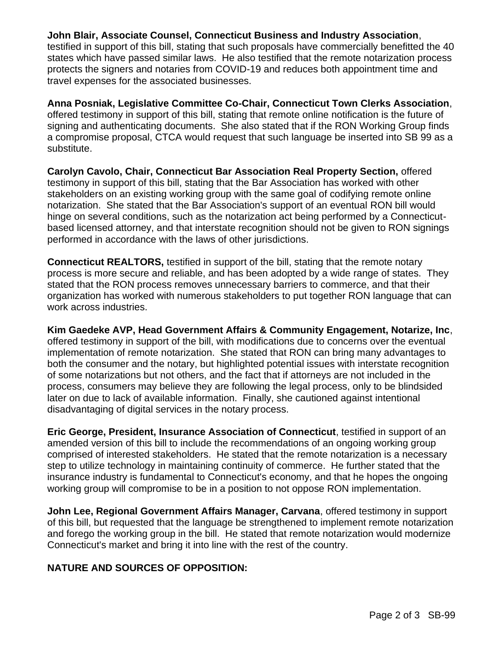#### **John Blair, Associate Counsel, Connecticut Business and Industry Association**,

testified in support of this bill, stating that such proposals have commercially benefitted the 40 states which have passed similar laws. He also testified that the remote notarization process protects the signers and notaries from COVID-19 and reduces both appointment time and travel expenses for the associated businesses.

**Anna Posniak, Legislative Committee Co-Chair, Connecticut Town Clerks Association**, offered testimony in support of this bill, stating that remote online notification is the future of signing and authenticating documents. She also stated that if the RON Working Group finds a compromise proposal, CTCA would request that such language be inserted into SB 99 as a substitute.

**Carolyn Cavolo, Chair, Connecticut Bar Association Real Property Section,** offered testimony in support of this bill, stating that the Bar Association has worked with other stakeholders on an existing working group with the same goal of codifying remote online notarization. She stated that the Bar Association's support of an eventual RON bill would hinge on several conditions, such as the notarization act being performed by a Connecticutbased licensed attorney, and that interstate recognition should not be given to RON signings performed in accordance with the laws of other jurisdictions.

**Connecticut REALTORS,** testified in support of the bill, stating that the remote notary process is more secure and reliable, and has been adopted by a wide range of states. They stated that the RON process removes unnecessary barriers to commerce, and that their organization has worked with numerous stakeholders to put together RON language that can work across industries.

**Kim Gaedeke AVP, Head Government Affairs & Community Engagement, Notarize, Inc**, offered testimony in support of the bill, with modifications due to concerns over the eventual implementation of remote notarization. She stated that RON can bring many advantages to both the consumer and the notary, but highlighted potential issues with interstate recognition of some notarizations but not others, and the fact that if attorneys are not included in the process, consumers may believe they are following the legal process, only to be blindsided later on due to lack of available information. Finally, she cautioned against intentional disadvantaging of digital services in the notary process.

**Eric George, President, Insurance Association of Connecticut**, testified in support of an amended version of this bill to include the recommendations of an ongoing working group comprised of interested stakeholders. He stated that the remote notarization is a necessary step to utilize technology in maintaining continuity of commerce. He further stated that the insurance industry is fundamental to Connecticut's economy, and that he hopes the ongoing working group will compromise to be in a position to not oppose RON implementation.

**John Lee, Regional Government Affairs Manager, Carvana**, offered testimony in support of this bill, but requested that the language be strengthened to implement remote notarization and forego the working group in the bill. He stated that remote notarization would modernize Connecticut's market and bring it into line with the rest of the country.

# **NATURE AND SOURCES OF OPPOSITION:**